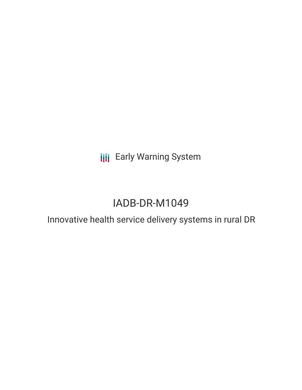**III** Early Warning System

# IADB-DR-M1049

Innovative health service delivery systems in rural DR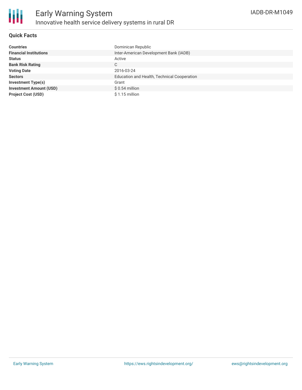

## **Quick Facts**

| <b>Countries</b>               | Dominican Republic                          |
|--------------------------------|---------------------------------------------|
| <b>Financial Institutions</b>  | Inter-American Development Bank (IADB)      |
| <b>Status</b>                  | Active                                      |
| <b>Bank Risk Rating</b>        | С                                           |
| <b>Voting Date</b>             | 2016-03-24                                  |
| <b>Sectors</b>                 | Education and Health, Technical Cooperation |
| <b>Investment Type(s)</b>      | Grant                                       |
| <b>Investment Amount (USD)</b> | $$0.54$ million                             |
| <b>Project Cost (USD)</b>      | $$1.15$ million                             |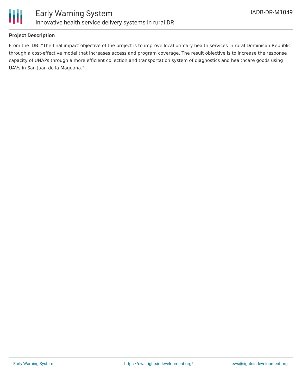

## **Project Description**

From the IDB: "The final impact objective of the project is to improve local primary health services in rural Dominican Republic through a cost-effective model that increases access and program coverage. The result objective is to increase the response capacity of UNAPs through a more efficient collection and transportation system of diagnostics and healthcare goods using UAVs in San Juan de la Maguana."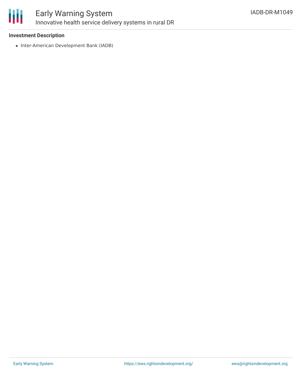

# Early Warning System Innovative health service delivery systems in rural DR

#### **Investment Description**

• Inter-American Development Bank (IADB)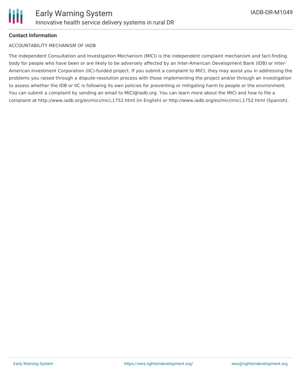## **Contact Information**

#### ACCOUNTABILITY MECHANISM OF IADB

The Independent Consultation and Investigation Mechanism (MICI) is the independent complaint mechanism and fact-finding body for people who have been or are likely to be adversely affected by an Inter-American Development Bank (IDB) or Inter-American Investment Corporation (IIC)-funded project. If you submit a complaint to MICI, they may assist you in addressing the problems you raised through a dispute-resolution process with those implementing the project and/or through an investigation to assess whether the IDB or IIC is following its own policies for preventing or mitigating harm to people or the environment. You can submit a complaint by sending an email to MICI@iadb.org. You can learn more about the MICI and how to file a complaint at http://www.iadb.org/en/mici/mici,1752.html (in English) or http://www.iadb.org/es/mici/mici,1752.html (Spanish).